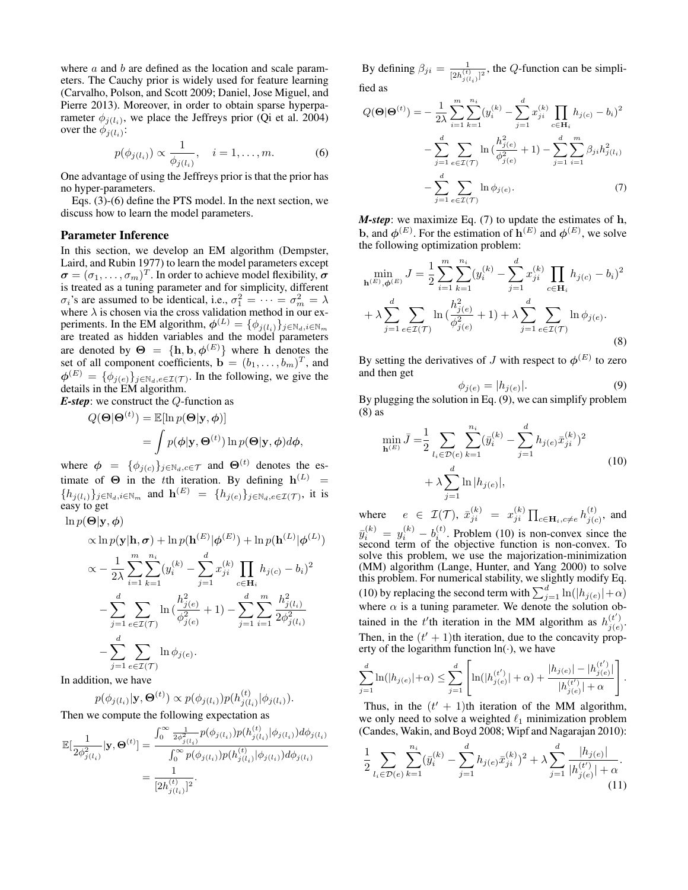where  $a$  and  $b$  are defined as the location and scale parameters. The Cauchy prior is widely used for feature learning (Carvalho, Polson, and Scott 2009; Daniel, Jose Miguel, and Pierre 2013). Moreover, in order to obtain sparse hyperparameter  $\phi_{j(l_i)}$ , we place the Jeffreys prior (Qi et al. 2004) over the  $\phi_{j(l_i)}$ :

$$
p(\phi_{j(l_i)}) \propto \frac{1}{\phi_{j(l_i)}}, \quad i = 1, ..., m.
$$
 (6)

One advantage of using the Jeffreys prior is that the prior has no hyper-parameters.

Eqs. (3)-(6) define the PTS model. In the next section, we discuss how to learn the model parameters.

#### Parameter Inference

In this section, we develop an EM algorithm (Dempster, Laird, and Rubin 1977) to learn the model parameters except  $\boldsymbol{\sigma} = (\sigma_1, \dots, \sigma_m)^T$ . In order to achieve model flexibility,  $\boldsymbol{\sigma}$ is treated as a tuning parameter and for simplicity, different  $\sigma_i$ 's are assumed to be identical, i.e.,  $\sigma_1^2 = \cdots = \sigma_m^2 = \lambda$ where  $\lambda$  is chosen via the cross validation method in our experiments. In the EM algorithm,  $\phi^{(L)} = {\{\phi_j}_{(l_i)}\}_{j \in \mathbb{N}_d, i \in \mathbb{N}_m}$ are treated as hidden variables and the model parameters are denoted by  $\Theta = {\{\mathbf{h}, \mathbf{b}, \boldsymbol{\phi}^{(E)}\}}$  where h denotes the set of all component coefficients,  $\mathbf{b} = (b_1, \dots, b_m)^T$ , and  $\phi^{(E)} = \{\phi_{j(e)}\}_{j \in \mathbb{N}_d, e \in \mathcal{I}(\mathcal{T})}$ . In the following, we give the details in the EM algorithm.

*E-step*: we construct the Q-function as

$$
Q(\mathbf{\Theta}|\mathbf{\Theta}^{(t)}) = \mathbb{E}[\ln p(\mathbf{\Theta}|\mathbf{y}, \phi)]
$$
  
= 
$$
\int p(\phi|\mathbf{y}, \mathbf{\Theta}^{(t)}) \ln p(\mathbf{\Theta}|\mathbf{y}, \phi) d\phi,
$$

where  $\phi = {\phi_{j(c)}}_{j \in \mathbb{N}_d, c \in \mathcal{T}}$  and  $\Theta^{(t)}$  denotes the estimate of  $\Theta$  in the tth iteration. By defining  $h^{(L)}$  =  ${h_{j(l_i)}}_{j \in \mathbb{N}_d, i \in \mathbb{N}_m}$  and  $\mathbf{h}^{(E)} = {h_{j(e)}}_{j \in \mathbb{N}_d, e \in \mathcal{I}(\mathcal{T})}$ , it is easy to get

$$
\ln p(\mathbf{\Theta}|\mathbf{y}, \boldsymbol{\phi})
$$
\n
$$
\propto \ln p(\mathbf{y}|\mathbf{h}, \boldsymbol{\sigma}) + \ln p(\mathbf{h}^{(E)}|\boldsymbol{\phi}^{(E)}) + \ln p(\mathbf{h}^{(L)}|\boldsymbol{\phi}^{(L)})
$$
\n
$$
\propto -\frac{1}{2\lambda} \sum_{i=1}^{m} \sum_{k=1}^{n_i} (y_i^{(k)} - \sum_{j=1}^{d} x_{ji}^{(k)} \prod_{c \in \mathbf{H}_i} h_{j(c)} - b_i)^2
$$
\n
$$
-\sum_{j=1}^{d} \sum_{e \in \mathcal{I}(\mathcal{T})} \ln \left(\frac{h_{j(e)}^2}{\phi_{j(e)}^2} + 1\right) - \sum_{j=1}^{d} \sum_{i=1}^{m} \frac{h_{j(l_i)}^2}{2\phi_{j(l_i)}^2}
$$
\n
$$
-\sum_{j=1}^{d} \sum_{e \in \mathcal{I}(\mathcal{T})} \ln \phi_{j(e)}.
$$

In addition, we have

$$
p(\phi_{j(l_i)}|\mathbf{y},\mathbf{\Theta}^{(t)}) \propto p(\phi_{j(l_i)})p(h_{j(l_i)}^{(t)}|\phi_{j(l_i)}).
$$

 $\lambda$ 

Then we compute the following expectation as

$$
\mathbb{E}[\frac{1}{2\phi_{j(l_i)}^2}|\mathbf{y},\boldsymbol{\Theta}^{(t)}] = \frac{\int_0^\infty \frac{1}{2\phi_{j(l_i)}^2} p(\phi_{j(l_i)}) p(h_{j(l_i)}^{(t)}|\phi_{j(l_i)}) d\phi_{j(l_i)}}{\int_0^\infty p(\phi_{j(l_i)}) p(h_{j(l_i)}^{(t)}|\phi_{j(l_i)}) d\phi_{j(l_i)}} = \frac{1}{[2h_{j(l_i)}^{(t)}]^2}.
$$

By defining  $\beta_{ji} = \frac{1}{\ln\left(t\right)}$  $\frac{1}{[2h_{j(l_i)}^{(t)}]^2}$ , the Q-function can be simplified as

$$
Q(\Theta|\Theta^{(t)}) = -\frac{1}{2\lambda} \sum_{i=1}^{m} \sum_{k=1}^{n_i} (y_i^{(k)} - \sum_{j=1}^{d} x_{ji}^{(k)} \prod_{c \in \mathbf{H}_i} h_{j(c)} - b_i)^2
$$

$$
-\sum_{j=1}^{d} \sum_{e \in \mathcal{I}(\mathcal{T})} \ln \left( \frac{h_{j(e)}^2}{\phi_{j(e)}^2} + 1 \right) - \sum_{j=1}^{d} \sum_{i=1}^{m} \beta_{ji} h_{j(l_i)}^2
$$

$$
-\sum_{j=1}^{d} \sum_{e \in \mathcal{I}(\mathcal{T})} \ln \phi_{j(e)}.
$$
(7)

*M-step*: we maximize Eq. (7) to update the estimates of h, b, and  $\phi^{(E)}$ . For the estimation of  $\mathbf{h}^{(E)}$  and  $\phi^{(E)}$ , we solve the following optimization problem:

$$
\min_{\mathbf{h}^{(E)}, \phi^{(E)}} J = \frac{1}{2} \sum_{i=1}^{m} \sum_{k=1}^{n_i} (y_i^{(k)} - \sum_{j=1}^{d} x_{ji}^{(k)} \prod_{c \in \mathbf{H}_i} h_{j(c)} - b_i)^2
$$
  
+  $\lambda \sum_{j=1}^{d} \sum_{e \in \mathcal{I}(\mathcal{T})} \ln \left( \frac{h_{j(e)}^2}{\phi_{j(e)}^2} + 1 \right) + \lambda \sum_{j=1}^{d} \sum_{e \in \mathcal{I}(\mathcal{T})} \ln \phi_{j(e)}.$  (8)

By setting the derivatives of J with respect to  $\phi^{(E)}$  to zero and then get

$$
\phi_{j(e)} = |h_{j(e)}|.\tag{9}
$$

By plugging the solution in Eq. (9), we can simplify problem (8) as

$$
\min_{\mathbf{h}^{(E)}} \bar{J} = \frac{1}{2} \sum_{l_i \in \mathcal{D}(e)} \sum_{k=1}^{n_i} (\bar{y}_i^{(k)} - \sum_{j=1}^d h_{j(e)} \bar{x}_{ji}^{(k)})^2 + \lambda \sum_{j=1}^d \ln|h_{j(e)}|,
$$
\n(10)

where  $e \in \mathcal{I}(\mathcal{T}), \ \bar{x}_{ji}^{(k)} = x_{ji}^{(k)} \prod_{c \in \mathbf{H}_i, c \neq e} h_{j(c)}^{(t)}$  $j(c)$ , and  $\bar{y}_i^{(k)} = y_i^{(k)} - b_i^{(t)}$ . Problem (10) is non-convex since the second term of the objective function is non-convex. To solve this problem, we use the majorization-minimization (MM) algorithm (Lange, Hunter, and Yang 2000) to solve this problem. For numerical stability, we slightly modify Eq. (10) by replacing the second term with  $\sum_{j=1}^d \ln(|h_{j(e)}|+\alpha)$ where  $\alpha$  is a tuning parameter. We denote the solution obtained in the t'th iteration in the MM algorithm as  $h_{i(e)}^{(t')}$  $\frac{\left(\iota\right)}{j(e)}$ . Then, in the  $(t' + 1)$ th iteration, due to the concavity property of the logarithm function  $ln(·)$ , we have

$$
\sum_{j=1}^d \ln(|h_{j(e)}|+\alpha) \leq \sum_{j=1}^d \left[ \ln(|h_{j(e)}^{(t')}|+\alpha) + \frac{|h_{j(e)}| - |h_{j(e)}^{(t')}|}{|h_{j(e)}^{(t')}|+\alpha} \right].
$$

Thus, in the  $(t' + 1)$ th iteration of the MM algorithm, we only need to solve a weighted  $\ell_1$  minimization problem (Candes, Wakin, and Boyd 2008; Wipf and Nagarajan 2010):

$$
\frac{1}{2} \sum_{l_i \in \mathcal{D}(e)} \sum_{k=1}^{n_i} (\bar{y}_i^{(k)} - \sum_{j=1}^d h_{j(e)} \bar{x}_{ji}^{(k)})^2 + \lambda \sum_{j=1}^d \frac{|h_{j(e)}|}{|h_{j(e)}^{(t')}| + \alpha}.
$$
\n(11)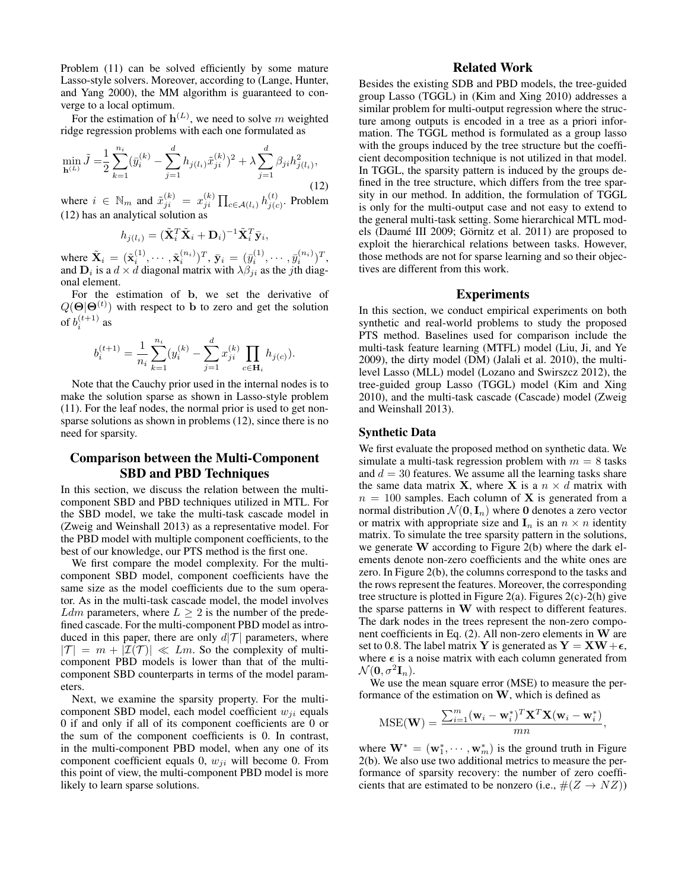Problem (11) can be solved efficiently by some mature Lasso-style solvers. Moreover, according to (Lange, Hunter, and Yang 2000), the MM algorithm is guaranteed to converge to a local optimum.

For the estimation of  $h^{(L)}$ , we need to solve m weighted ridge regression problems with each one formulated as

$$
\min_{\mathbf{h}^{(L)}} \tilde{J} = \frac{1}{2} \sum_{k=1}^{n_i} (\bar{y}_i^{(k)} - \sum_{j=1}^d h_{j(l_i)} \tilde{x}_{ji}^{(k)})^2 + \lambda \sum_{j=1}^d \beta_{ji} h_{j(l_i)}^2,
$$
\n(12)

where  $i \in \mathbb{N}_m$  and  $\tilde{x}_{ji}^{(k)} = x_{ji}^{(k)} \prod_{c \in \mathcal{A}(l_i)} h_{j(c)}^{(t)}$  $j(c)$ . Problem (12) has an analytical solution as

$$
h_{j(l_i)} = (\tilde{\mathbf{X}}_i^T \tilde{\mathbf{X}}_i + \mathbf{D}_i)^{-1} \tilde{\mathbf{X}}_i^T \bar{\mathbf{y}}_i,
$$

where  $\tilde{\mathbf{X}}_i = (\tilde{\mathbf{x}}_i^{(1)}, \cdots, \tilde{\mathbf{x}}_i^{(n_i)})^T$ ,  $\bar{\mathbf{y}}_i = (\bar{y}_i^{(1)}, \cdots, \bar{y}_i^{(n_i)})^T$ , and  $\mathbf{D}_i$  is a  $d \times d$  diagonal matrix with  $\lambda \beta_{ji}$  as the *j*th diagonal element.

For the estimation of b, we set the derivative of  $Q(\Theta|\Theta^{(t)})$  with respect to b to zero and get the solution of  $b_i^{(t+1)}$  as

$$
b_i^{(t+1)} = \frac{1}{n_i} \sum_{k=1}^{n_i} (y_i^{(k)} - \sum_{j=1}^d x_{ji}^{(k)} \prod_{c \in \mathbf{H}_i} h_{j(c)}).
$$

Note that the Cauchy prior used in the internal nodes is to make the solution sparse as shown in Lasso-style problem (11). For the leaf nodes, the normal prior is used to get nonsparse solutions as shown in problems (12), since there is no need for sparsity.

# Comparison between the Multi-Component SBD and PBD Techniques

In this section, we discuss the relation between the multicomponent SBD and PBD techniques utilized in MTL. For the SBD model, we take the multi-task cascade model in (Zweig and Weinshall 2013) as a representative model. For the PBD model with multiple component coefficients, to the best of our knowledge, our PTS method is the first one.

We first compare the model complexity. For the multicomponent SBD model, component coefficients have the same size as the model coefficients due to the sum operator. As in the multi-task cascade model, the model involves Ldm parameters, where  $L \geq 2$  is the number of the predefined cascade. For the multi-component PBD model as introduced in this paper, there are only  $d|\mathcal{T}|$  parameters, where  $|T| = m + |\mathcal{I}(T)| \ll Lm$ . So the complexity of multicomponent PBD models is lower than that of the multicomponent SBD counterparts in terms of the model parameters.

Next, we examine the sparsity property. For the multicomponent SBD model, each model coefficient  $w_{ji}$  equals 0 if and only if all of its component coefficients are 0 or the sum of the component coefficients is 0. In contrast, in the multi-component PBD model, when any one of its component coefficient equals 0,  $w_{ii}$  will become 0. From this point of view, the multi-component PBD model is more likely to learn sparse solutions.

# Related Work

Besides the existing SDB and PBD models, the tree-guided group Lasso (TGGL) in (Kim and Xing 2010) addresses a similar problem for multi-output regression where the structure among outputs is encoded in a tree as a priori information. The TGGL method is formulated as a group lasso with the groups induced by the tree structure but the coefficient decomposition technique is not utilized in that model. In TGGL, the sparsity pattern is induced by the groups defined in the tree structure, which differs from the tree sparsity in our method. In addition, the formulation of TGGL is only for the multi-output case and not easy to extend to the general multi-task setting. Some hierarchical MTL models (Daumé III 2009; Görnitz et al. 2011) are proposed to exploit the hierarchical relations between tasks. However, those methods are not for sparse learning and so their objectives are different from this work.

### Experiments

In this section, we conduct empirical experiments on both synthetic and real-world problems to study the proposed PTS method. Baselines used for comparison include the multi-task feature learning (MTFL) model (Liu, Ji, and Ye 2009), the dirty model (DM) (Jalali et al. 2010), the multilevel Lasso (MLL) model (Lozano and Swirszcz 2012), the tree-guided group Lasso (TGGL) model (Kim and Xing 2010), and the multi-task cascade (Cascade) model (Zweig and Weinshall 2013).

## Synthetic Data

We first evaluate the proposed method on synthetic data. We simulate a multi-task regression problem with  $m = 8$  tasks and  $d = 30$  features. We assume all the learning tasks share the same data matrix **X**, where **X** is a  $n \times d$  matrix with  $n = 100$  samples. Each column of **X** is generated from a normal distribution  $\mathcal{N}(\mathbf{0}, \mathbf{I}_n)$  where **0** denotes a zero vector or matrix with appropriate size and  $\mathbf{I}_n$  is an  $n \times n$  identity matrix. To simulate the tree sparsity pattern in the solutions, we generate W according to Figure 2(b) where the dark elements denote non-zero coefficients and the white ones are zero. In Figure 2(b), the columns correspond to the tasks and the rows represent the features. Moreover, the corresponding tree structure is plotted in Figure 2(a). Figures 2(c)-2(h) give the sparse patterns in W with respect to different features. The dark nodes in the trees represent the non-zero component coefficients in Eq. (2). All non-zero elements in W are set to 0.8. The label matrix Y is generated as  $Y = XW + \epsilon$ , where  $\epsilon$  is a noise matrix with each column generated from  $\mathcal{N}(\mathbf{0}, \sigma^2 \mathbf{I}_n).$ 

We use the mean square error (MSE) to measure the performance of the estimation on W, which is defined as

$$
\text{MSE}(\mathbf{W}) = \frac{\sum_{i=1}^{m} (\mathbf{w}_i - \mathbf{w}_i^*)^T \mathbf{X}^T \mathbf{X} (\mathbf{w}_i - \mathbf{w}_i^*)}{mn},
$$

where  $\mathbf{W}^* = (\mathbf{w}_1^*, \cdots, \mathbf{w}_m^*)$  is the ground truth in Figure 2(b). We also use two additional metrics to measure the performance of sparsity recovery: the number of zero coefficients that are estimated to be nonzero (i.e.,  $\#(Z \to NZ)$ )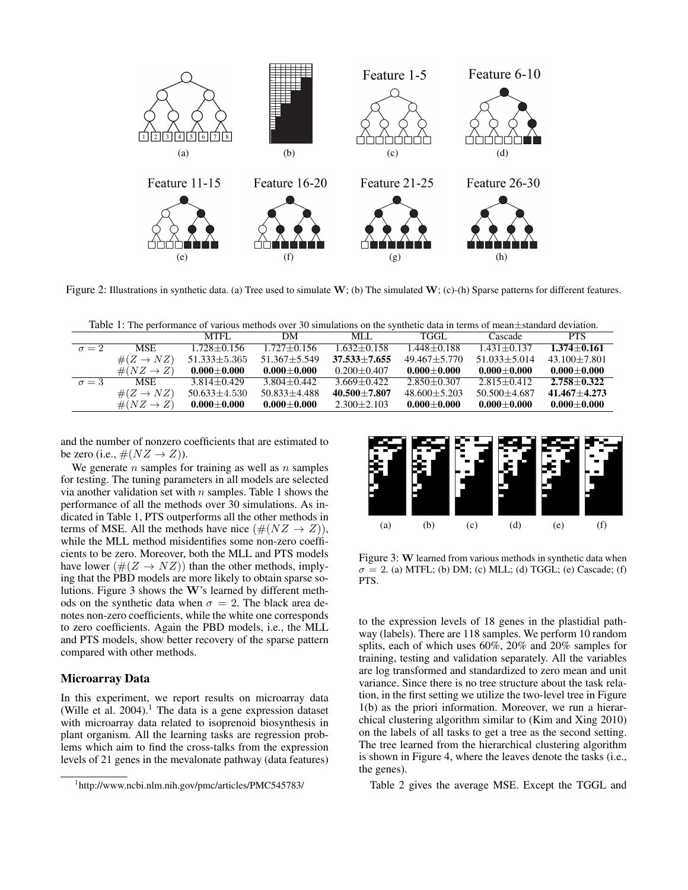

Figure 2: Illustrations in synthetic data. (a) Tree used to simulate  $W$ ; (b) The simulated  $W$ ; (c)-(h) Sparse patterns for different features.

Table 1: The performance of various methods over 30 simulations on the synthetic data in terms of mean $\pm$ standard deviation.

|              |                        | MTFL.              | DМ               | MLL.             | TGGL             | Cascade          | <b>PTS</b>       |
|--------------|------------------------|--------------------|------------------|------------------|------------------|------------------|------------------|
| $\sigma = 2$ | <b>MSE</b>             | $1.728 + 0.156$    | 1.727+0.156      | $1.632 + 0.158$  | $1.448 + 0.188$  | $1.431 + 0.137$  | $1.374 + 0.161$  |
|              | $\#(Z \to NZ)$         | $51.333 \pm 5.365$ | $51.367 + 5.549$ | $37.533 + 7.655$ | $49.467 + 5.770$ | $51.033 + 5.014$ | $43.100 + 7.801$ |
|              | $\#(NZ \rightarrow Z)$ | $0.000 + 0.000$    | $0.000 + 0.000$  | $0.200 + 0.407$  | $0.000 + 0.000$  | $0.000 + 0.000$  | $0.000 + 0.000$  |
| $\sigma = 3$ | <b>MSE</b>             | $3.814 + 0.429$    | $3.804 + 0.442$  | $3.669 + 0.422$  | $2.850 + 0.307$  | $2.815 + 0.412$  | $2.758 + 0.322$  |
|              | $\#(Z \to NZ)$         | $50.633 \pm 4.530$ | $50.833 + 4.488$ | $40.500 + 7.807$ | $48.600 + 5.203$ | $50.500 + 4.687$ | $41.467 + 4.273$ |
|              | $\#(NZ \rightarrow Z)$ | $0.000 + 0.000$    | $0.000 + 0.000$  | $2.300 + 2.103$  | $0.000 + 0.000$  | $0.000 + 0.000$  | $0.000 + 0.000$  |

and the number of nonzero coefficients that are estimated to be zero (i.e.,  $\#(NZ \rightarrow Z)$ ).

We generate  $n$  samples for training as well as  $n$  samples for testing. The tuning parameters in all models are selected via another validation set with  $n$  samples. Table 1 shows the performance of all the methods over 30 simulations. As indicated in Table 1, PTS outperforms all the other methods in terms of MSE. All the methods have nice  $(\#(NZ \rightarrow Z))$ , while the MLL method misidentifies some non-zero coefficients to be zero. Moreover, both the MLL and PTS models have lower  $(\#(Z \to NZ))$  than the other methods, implying that the PBD models are more likely to obtain sparse solutions. Figure 3 shows the W's learned by different methods on the synthetic data when  $\sigma = 2$ . The black area denotes non-zero coefficients, while the white one corresponds to zero coefficients. Again the PBD models, i.e., the MLL and PTS models, show better recovery of the sparse pattern compared with other methods.

### Microarray Data

In this experiment, we report results on microarray data (Wille et al.  $2004$ ).<sup>1</sup> The data is a gene expression dataset with microarray data related to isoprenoid biosynthesis in plant organism. All the learning tasks are regression problems which aim to find the cross-talks from the expression levels of 21 genes in the mevalonate pathway (data features)



Figure 3: W learned from various methods in synthetic data when  $\sigma = 2$ . (a) MTFL; (b) DM; (c) MLL; (d) TGGL; (e) Cascade; (f) PTS.

to the expression levels of 18 genes in the plastidial pathway (labels). There are 118 samples. We perform 10 random splits, each of which uses 60%, 20% and 20% samples for training, testing and validation separately. All the variables are log transformed and standardized to zero mean and unit variance. Since there is no tree structure about the task relation, in the first setting we utilize the two-level tree in Figure 1(b) as the priori information. Moreover, we run a hierarchical clustering algorithm similar to (Kim and Xing 2010) on the labels of all tasks to get a tree as the second setting. The tree learned from the hierarchical clustering algorithm is shown in Figure 4, where the leaves denote the tasks (i.e., the genes).

Table 2 gives the average MSE. Except the TGGL and

<sup>1</sup> http://www.ncbi.nlm.nih.gov/pmc/articles/PMC545783/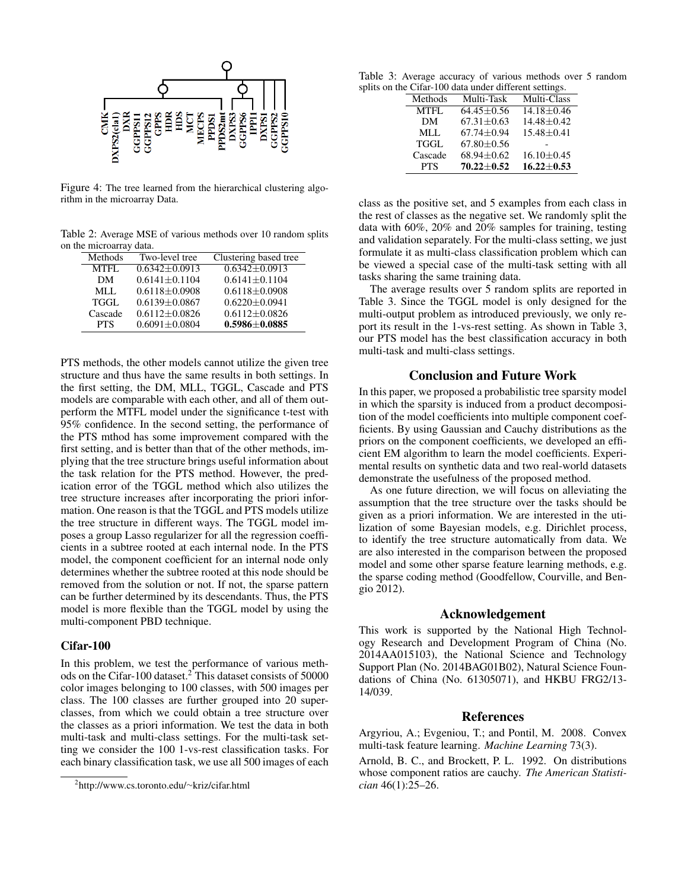

Figure 4: The tree learned from the hierarchical clustering algorithm in the microarray Data.

Table 2: Average MSE of various methods over 10 random splits on the microarray data.

| Methods    | Two-level tree      | Clustering based tree |
|------------|---------------------|-----------------------|
| MTFL       | $0.6342 + 0.0913$   | $0.6342 + 0.0913$     |
| DМ         | $0.6141 \pm 0.1104$ | $0.6141 \pm 0.1104$   |
| MLL        | $0.6118 \pm 0.0908$ | $0.6118 \pm 0.0908$   |
| TGGL       | $0.6139 + 0.0867$   | $0.6220 + 0.0941$     |
| Cascade    | $0.6112 \pm 0.0826$ | $0.6112 \pm 0.0826$   |
| <b>PTS</b> | $0.6091 \pm 0.0804$ | $0.5986 \pm 0.0885$   |

PTS methods, the other models cannot utilize the given tree structure and thus have the same results in both settings. In the first setting, the DM, MLL, TGGL, Cascade and PTS models are comparable with each other, and all of them outperform the MTFL model under the significance t-test with 95% confidence. In the second setting, the performance of the PTS mthod has some improvement compared with the first setting, and is better than that of the other methods, implying that the tree structure brings useful information about the task relation for the PTS method. However, the predication error of the TGGL method which also utilizes the tree structure increases after incorporating the priori information. One reason is that the TGGL and PTS models utilize the tree structure in different ways. The TGGL model imposes a group Lasso regularizer for all the regression coefficients in a subtree rooted at each internal node. In the PTS model, the component coefficient for an internal node only determines whether the subtree rooted at this node should be removed from the solution or not. If not, the sparse pattern can be further determined by its descendants. Thus, the PTS model is more flexible than the TGGL model by using the multi-component PBD technique.

#### Cifar-100

In this problem, we test the performance of various methods on the Cifar-100 dataset.<sup>2</sup> This dataset consists of 50000 color images belonging to 100 classes, with 500 images per class. The 100 classes are further grouped into 20 superclasses, from which we could obtain a tree structure over the classes as a priori information. We test the data in both multi-task and multi-class settings. For the multi-task setting we consider the 100 1-vs-rest classification tasks. For each binary classification task, we use all 500 images of each

Table 3: Average accuracy of various methods over 5 random splits on the Cifar-100 data under different settings.

| Methods     | Multi-Task       | Multi-Class      |  |  |  |
|-------------|------------------|------------------|--|--|--|
| <b>MTFL</b> | $64.45 + 0.56$   | $14.18 + 0.46$   |  |  |  |
| DM          | $67.31 + 0.63$   | $14.48 + 0.42$   |  |  |  |
| MLL         | $67.74 \pm 0.94$ | $15.48 \pm 0.41$ |  |  |  |
| <b>TGGL</b> | $67.80 + 0.56$   |                  |  |  |  |
| Cascade     | $68.94 \pm 0.62$ | $16.10 \pm 0.45$ |  |  |  |
| <b>PTS</b>  | $70.22 + 0.52$   | $16.22 \pm 0.53$ |  |  |  |

class as the positive set, and 5 examples from each class in the rest of classes as the negative set. We randomly split the data with 60%, 20% and 20% samples for training, testing and validation separately. For the multi-class setting, we just formulate it as multi-class classification problem which can be viewed a special case of the multi-task setting with all tasks sharing the same training data.

The average results over 5 random splits are reported in Table 3. Since the TGGL model is only designed for the multi-output problem as introduced previously, we only report its result in the 1-vs-rest setting. As shown in Table 3, our PTS model has the best classification accuracy in both multi-task and multi-class settings.

## Conclusion and Future Work

In this paper, we proposed a probabilistic tree sparsity model in which the sparsity is induced from a product decomposition of the model coefficients into multiple component coefficients. By using Gaussian and Cauchy distributions as the priors on the component coefficients, we developed an efficient EM algorithm to learn the model coefficients. Experimental results on synthetic data and two real-world datasets demonstrate the usefulness of the proposed method.

As one future direction, we will focus on alleviating the assumption that the tree structure over the tasks should be given as a priori information. We are interested in the utilization of some Bayesian models, e.g. Dirichlet process, to identify the tree structure automatically from data. We are also interested in the comparison between the proposed model and some other sparse feature learning methods, e.g. the sparse coding method (Goodfellow, Courville, and Bengio 2012).

#### Acknowledgement

This work is supported by the National High Technology Research and Development Program of China (No. 2014AA015103), the National Science and Technology Support Plan (No. 2014BAG01B02), Natural Science Foundations of China (No. 61305071), and HKBU FRG2/13- 14/039.

#### References

Argyriou, A.; Evgeniou, T.; and Pontil, M. 2008. Convex multi-task feature learning. *Machine Learning* 73(3).

Arnold, B. C., and Brockett, P. L. 1992. On distributions whose component ratios are cauchy. *The American Statistician* 46(1):25–26.

<sup>2</sup> http://www.cs.toronto.edu/∼kriz/cifar.html